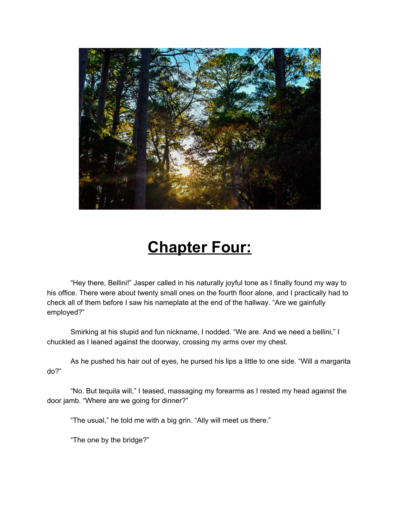

## **Chapter Four:**

"Hey there, Bellini!" Jasper called in his naturally joyful tone as I finally found my way to his office. There were about twenty small ones on the fourth floor alone, and I practically had to check all of them before I saw his nameplate at the end of the hallway. "Are we gainfully employed?"

Smirking at his stupid and fun nickname, I nodded. "We are. And we need a bellini," I chuckled as I leaned against the doorway, crossing my arms over my chest.

As he pushed his hair out of eyes, he pursed his lips a little to one side. "Will a margarita do?"

"No. But tequila will," I teased, massaging my forearms as I rested my head against the door jamb. "Where are we going for dinner?"

"The usual," he told me with a big grin. "Ally will meet us there."

"The one by the bridge?"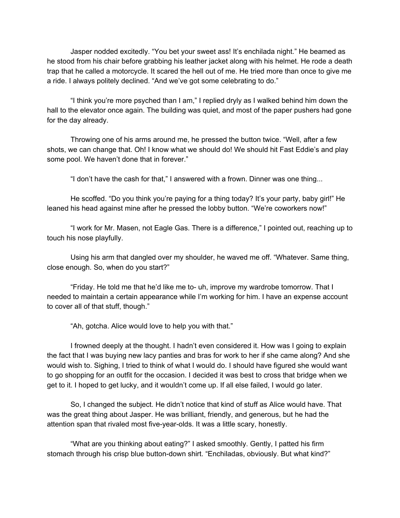Jasper nodded excitedly. "You bet your sweet ass! It's enchilada night." He beamed as he stood from his chair before grabbing his leather jacket along with his helmet. He rode a death trap that he called a motorcycle. It scared the hell out of me. He tried more than once to give me a ride. I always politely declined. "And we've got some celebrating to do."

"I think you're more psyched than I am," I replied dryly as I walked behind him down the hall to the elevator once again. The building was quiet, and most of the paper pushers had gone for the day already.

Throwing one of his arms around me, he pressed the button twice. "Well, after a few shots, we can change that. Oh! I know what we should do! We should hit Fast Eddie's and play some pool. We haven't done that in forever."

"I don't have the cash for that," I answered with a frown. Dinner was one thing...

He scoffed. "Do you think you're paying for a thing today? It's your party, baby girl!" He leaned his head against mine after he pressed the lobby button. "We're coworkers now!"

"I work for Mr. Masen, not Eagle Gas. There is a difference," I pointed out, reaching up to touch his nose playfully.

Using his arm that dangled over my shoulder, he waved me off. "Whatever. Same thing, close enough. So, when do you start?"

"Friday. He told me that he'd like me to- uh, improve my wardrobe tomorrow. That I needed to maintain a certain appearance while I'm working for him. I have an expense account to cover all of that stuff, though."

"Ah, gotcha. Alice would love to help you with that."

I frowned deeply at the thought. I hadn't even considered it. How was I going to explain the fact that I was buying new lacy panties and bras for work to her if she came along? And she would wish to. Sighing, I tried to think of what I would do. I should have figured she would want to go shopping for an outfit for the occasion. I decided it was best to cross that bridge when we get to it. I hoped to get lucky, and it wouldn't come up. If all else failed, I would go later.

So, I changed the subject. He didn't notice that kind of stuff as Alice would have. That was the great thing about Jasper. He was brilliant, friendly, and generous, but he had the attention span that rivaled most five-year-olds. It was a little scary, honestly.

"What are you thinking about eating?" I asked smoothly. Gently, I patted his firm stomach through his crisp blue button-down shirt. "Enchiladas, obviously. But what kind?"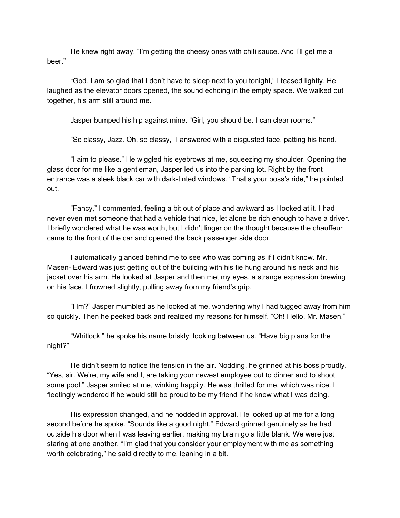He knew right away. "I'm getting the cheesy ones with chili sauce. And I'll get me a beer."

"God. I am so glad that I don't have to sleep next to you tonight," I teased lightly. He laughed as the elevator doors opened, the sound echoing in the empty space. We walked out together, his arm still around me.

Jasper bumped his hip against mine. "Girl, you should be. I can clear rooms."

"So classy, Jazz. Oh, so classy," I answered with a disgusted face, patting his hand.

"I aim to please." He wiggled his eyebrows at me, squeezing my shoulder. Opening the glass door for me like a gentleman, Jasper led us into the parking lot. Right by the front entrance was a sleek black car with dark-tinted windows. "That's your boss's ride," he pointed out.

"Fancy," I commented, feeling a bit out of place and awkward as I looked at it. I had never even met someone that had a vehicle that nice, let alone be rich enough to have a driver. I briefly wondered what he was worth, but I didn't linger on the thought because the chauffeur came to the front of the car and opened the back passenger side door.

I automatically glanced behind me to see who was coming as if I didn't know. Mr. Masen- Edward was just getting out of the building with his tie hung around his neck and his jacket over his arm. He looked at Jasper and then met my eyes, a strange expression brewing on his face. I frowned slightly, pulling away from my friend's grip.

"Hm?" Jasper mumbled as he looked at me, wondering why I had tugged away from him so quickly. Then he peeked back and realized my reasons for himself. "Oh! Hello, Mr. Masen."

"Whitlock," he spoke his name briskly, looking between us. "Have big plans for the night?"

He didn't seem to notice the tension in the air. Nodding, he grinned at his boss proudly. "Yes, sir. We're, my wife and I, are taking your newest employee out to dinner and to shoot some pool." Jasper smiled at me, winking happily. He was thrilled for me, which was nice. I fleetingly wondered if he would still be proud to be my friend if he knew what I was doing.

His expression changed, and he nodded in approval. He looked up at me for a long second before he spoke. "Sounds like a good night." Edward grinned genuinely as he had outside his door when I was leaving earlier, making my brain go a little blank. We were just staring at one another. "I'm glad that you consider your employment with me as something worth celebrating," he said directly to me, leaning in a bit.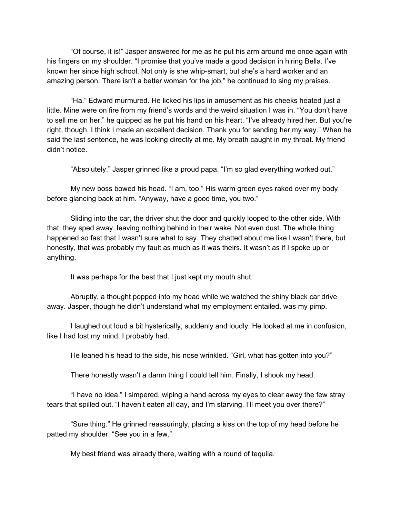"Of course, it is!" Jasper answered for me as he put his arm around me once again with his fingers on my shoulder. "I promise that you've made a good decision in hiring Bella. I've known her since high school. Not only is she whip-smart, but she's a hard worker and an amazing person. There isn't a better woman for the job," he continued to sing my praises.

"Ha." Edward murmured. He licked his lips in amusement as his cheeks heated just a little. Mine were on fire from my friend's words and the weird situation I was in. "You don't have to sell me on her," he quipped as he put his hand on his heart. "I've already hired her. But you're right, though. I think I made an excellent decision. Thank you for sending her my way." When he said the last sentence, he was looking directly at me. My breath caught in my throat. My friend didn't notice.

"Absolutely." Jasper grinned like a proud papa. "I'm so glad everything worked out."

My new boss bowed his head. "I am, too." His warm green eyes raked over my body before glancing back at him. "Anyway, have a good time, you two."

Sliding into the car, the driver shut the door and quickly looped to the other side. With that, they sped away, leaving nothing behind in their wake. Not even dust. The whole thing happened so fast that I wasn't sure what to say. They chatted about me like I wasn't there, but honestly, that was probably my fault as much as it was theirs. It wasn't as if I spoke up or anything.

It was perhaps for the best that I just kept my mouth shut.

Abruptly, a thought popped into my head while we watched the shiny black car drive away. Jasper, though he didn't understand what my employment entailed, was my pimp.

I laughed out loud a bit hysterically, suddenly and loudly. He looked at me in confusion, like I had lost my mind. I probably had.

He leaned his head to the side, his nose wrinkled. "Girl, what has gotten into you?"

There honestly wasn't a damn thing I could tell him. Finally, I shook my head.

"I have no idea," I simpered, wiping a hand across my eyes to clear away the few stray tears that spilled out. "I haven't eaten all day, and I'm starving. I'll meet you over there?"

"Sure thing." He grinned reassuringly, placing a kiss on the top of my head before he patted my shoulder. "See you in a few."

My best friend was already there, waiting with a round of tequila.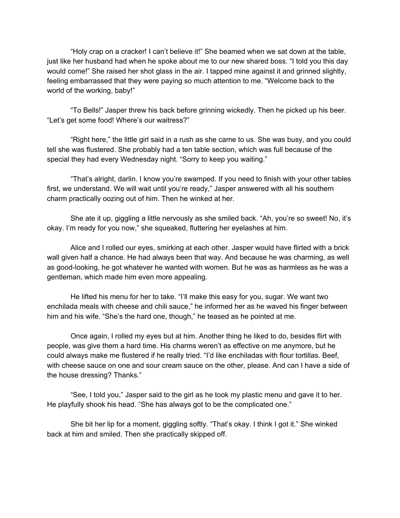"Holy crap on a cracker! I can't believe it!" She beamed when we sat down at the table, just like her husband had when he spoke about me to our new shared boss. "I told you this day would come!" She raised her shot glass in the air. I tapped mine against it and grinned slightly, feeling embarrassed that they were paying so much attention to me. "Welcome back to the world of the working, baby!"

"To Bells!" Jasper threw his back before grinning wickedly. Then he picked up his beer. "Let's get some food! Where's our waitress?"

"Right here," the little girl said in a rush as she came to us. She was busy, and you could tell she was flustered. She probably had a ten table section, which was full because of the special they had every Wednesday night. "Sorry to keep you waiting."

"That's alright, darlin. I know you're swamped. If you need to finish with your other tables first, we understand. We will wait until you're ready," Jasper answered with all his southern charm practically oozing out of him. Then he winked at her.

She ate it up, giggling a little nervously as she smiled back. "Ah, you're so sweet! No, it's okay. I'm ready for you now," she squeaked, fluttering her eyelashes at him.

Alice and I rolled our eyes, smirking at each other. Jasper would have flirted with a brick wall given half a chance. He had always been that way. And because he was charming, as well as good-looking, he got whatever he wanted with women. But he was as harmless as he was a gentleman, which made him even more appealing.

He lifted his menu for her to take. "I'll make this easy for you, sugar. We want two enchilada meals with cheese and chili sauce," he informed her as he waved his finger between him and his wife. "She's the hard one, though," he teased as he pointed at me.

Once again, I rolled my eyes but at him. Another thing he liked to do, besides flirt with people, was give them a hard time. His charms weren't as effective on me anymore, but he could always make me flustered if he really tried. "I'd like enchiladas with flour tortillas. Beef, with cheese sauce on one and sour cream sauce on the other, please. And can I have a side of the house dressing? Thanks."

"See, I told you," Jasper said to the girl as he took my plastic menu and gave it to her. He playfully shook his head. "She has always got to be the complicated one."

She bit her lip for a moment, giggling softly. "That's okay. I think I got it." She winked back at him and smiled. Then she practically skipped off.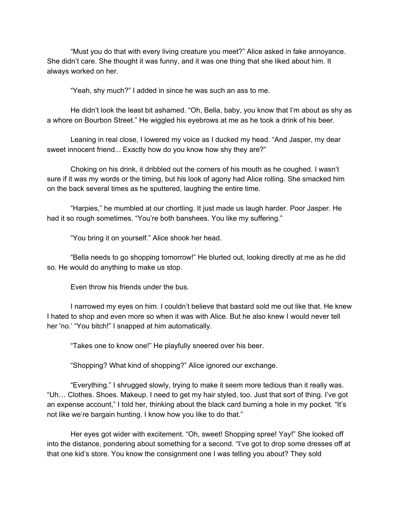"Must you do that with every living creature you meet?" Alice asked in fake annoyance. She didn't care. She thought it was funny, and it was one thing that she liked about him. It always worked on her.

"Yeah, shy much?" I added in since he was such an ass to me.

He didn't look the least bit ashamed. "Oh, Bella, baby, you know that I'm about as shy as a whore on Bourbon Street." He wiggled his eyebrows at me as he took a drink of his beer.

Leaning in real close, I lowered my voice as I ducked my head. "And Jasper, my dear sweet innocent friend... Exactly how do you know how shy they are?"

Choking on his drink, it dribbled out the corners of his mouth as he coughed. I wasn't sure if it was my words or the timing, but his look of agony had Alice rolling. She smacked him on the back several times as he sputtered, laughing the entire time.

"Harpies," he mumbled at our chortling. It just made us laugh harder. Poor Jasper. He had it so rough sometimes. "You're both banshees. You like my suffering."

"You bring it on yourself." Alice shook her head.

"Bella needs to go shopping tomorrow!" He blurted out, looking directly at me as he did so. He would do anything to make us stop.

Even throw his friends under the bus.

I narrowed my eyes on him. I couldn't believe that bastard sold me out like that. He knew I hated to shop and even more so when it was with Alice. But he also knew I would never tell her 'no.' "You bitch!" I snapped at him automatically.

"Takes one to know one!" He playfully sneered over his beer.

"Shopping? What kind of shopping?" Alice ignored our exchange.

"Everything." I shrugged slowly, trying to make it seem more tedious than it really was. "Uh… Clothes. Shoes. Makeup. I need to get my hair styled, too. Just that sort of thing. I've got an expense account," I told her, thinking about the black card burning a hole in my pocket. "It's not like we're bargain hunting. I know how you like to do that."

Her eyes got wider with excitement. "Oh, sweet! Shopping spree! Yay!" She looked off into the distance, pondering about something for a second. "I've got to drop some dresses off at that one kid's store. You know the consignment one I was telling you about? They sold